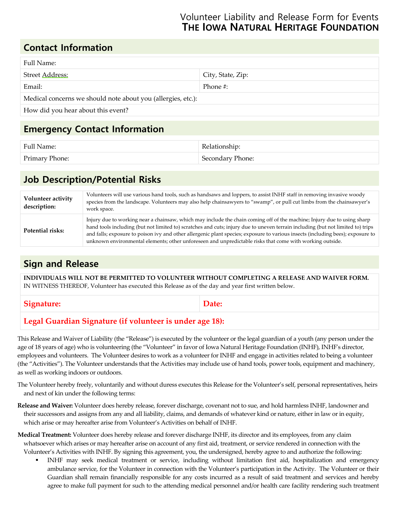### Volunteer Liability and Release Form for Events  **THE IOWA NATURAL HERITAGE FOUNDATION**

### **Contact Information**

| Full Name:                                                   |                   |
|--------------------------------------------------------------|-------------------|
| Street Address:                                              | City, State, Zip: |
| Email:                                                       | Phone #:          |
| Medical concerns we should note about you (allergies, etc.): |                   |
| How did you hear about this event?                           |                   |

## **Emergency Contact Information**

| Full Name:            | Relationship:    |
|-----------------------|------------------|
| <b>Primary Phone:</b> | Secondary Phone: |

# **Job Description/Potential Risks**

| Volunteer activity<br>description: | Volunteers will use various hand tools, such as handsaws and loppers, to assist INHF staff in removing invasive woody<br>species from the landscape. Volunteers may also help chainsawyers to "swamp", or pull cut limbs from the chainsawyer's<br>work space.                                                                                                                                                                                                                                            |
|------------------------------------|-----------------------------------------------------------------------------------------------------------------------------------------------------------------------------------------------------------------------------------------------------------------------------------------------------------------------------------------------------------------------------------------------------------------------------------------------------------------------------------------------------------|
| Potential risks:                   | Injury due to working near a chainsaw, which may include the chain coming off of the machine; Injury due to using sharp<br>hand tools including (but not limited to) scratches and cuts; injury due to uneven terrain including (but not limited to) trips<br>and falls; exposure to poison ivy and other allergenic plant species; exposure to various insects (including bees); exposure to<br>unknown environmental elements; other unforeseen and unpredictable risks that come with working outside. |

# **Sign and Release**

**INDIVIDUALS WILL NOT BE PERMITTED TO VOLUNTEER WITHOUT COMPLETING A RELEASE AND WAIVER FORM.** IN WITNESS THEREOF, Volunteer has executed this Release as of the day and year first written below.

Signature: **Date: Date: Date:** 

### **Legal Guardian Signature (if volunteer is under age 18):**

This Release and Waiver of Liability (the "Release") is executed by the volunteer or the legal guardian of a youth (any person under the age of 18 years of age) who is volunteering (the "Volunteer" in favor of Iowa Natural Heritage Foundation (INHF), INHF's director, employees and volunteers. The Volunteer desires to work as a volunteer for INHF and engage in activities related to being a volunteer (the "Activities"). The Volunteer understands that the Activities may include use of hand tools, power tools, equipment and machinery, as well as working indoors or outdoors.

The Volunteer hereby freely, voluntarily and without duress executes this Release for the Volunteer's self, personal representatives, heirs and next of kin under the following terms:

- **Release and Waiver:** Volunteer does hereby release, forever discharge, covenant not to sue, and hold harmless INHF, landowner and their successors and assigns from any and all liability, claims, and demands of whatever kind or nature, either in law or in equity, which arise or may hereafter arise from Volunteer's Activities on behalf of INHF.
- **Medical Treatment:** Volunteer does hereby release and forever discharge INHF, its director and its employees, from any claim whatsoever which arises or may hereafter arise on account of any first aid, treatment, or service rendered in connection with the Volunteer's Activities with INHF. By signing this agreement, you, the undersigned, hereby agree to and authorize the following:
	- INHF may seek medical treatment or service, including without limitation first aid, hospitalization and emergency ambulance service, for the Volunteer in connection with the Volunteer's participation in the Activity. The Volunteer or their Guardian shall remain financially responsible for any costs incurred as a result of said treatment and services and hereby agree to make full payment for such to the attending medical personnel and/or health care facility rendering such treatment